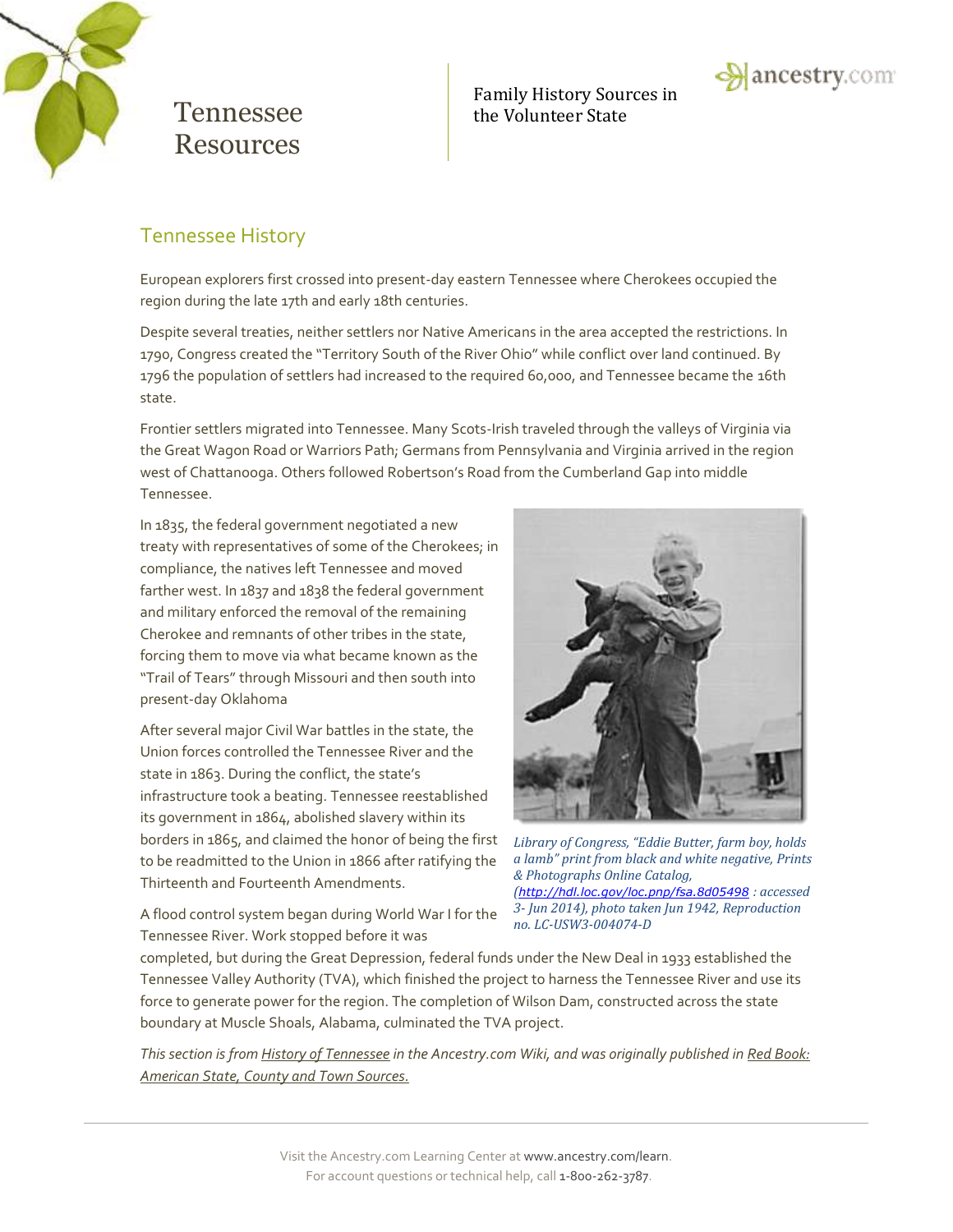

Family History Sources in Tennessee the Volunteer State



### Tennessee History

European explorers first crossed into present-day eastern Tennessee where Cherokees occupied the region during the late 17th and early 18th centuries.

Despite several treaties, neither settlers nor Native Americans in the area accepted the restrictions. In 1790, Congress created the "Territory South of the River Ohio" while conflict over land continued. By 1796 the population of settlers had increased to the required 60,000, and Tennessee became the 16th state.

Frontier settlers migrated into Tennessee. Many Scots-Irish traveled through the valleys of Virginia via the Great Wagon Road or Warriors Path; Germans from Pennsylvania and Virginia arrived in the region west of Chattanooga. Others followed Robertson's Road from the Cumberland Gap into middle Tennessee.

In 1835, the federal government negotiated a new treaty with representatives of some of the Cherokees; in compliance, the natives left Tennessee and moved farther west. In 1837 and 1838 the federal government and military enforced the removal of the remaining Cherokee and remnants of other tribes in the state, forcing them to move via what became known as the "Trail of Tears" through Missouri and then south into present-day Oklahoma

After several major Civil War battles in the state, the Union forces controlled the Tennessee River and the state in 1863. During the conflict, the state's infrastructure took a beating. Tennessee reestablished its government in 1864, abolished slavery within its borders in 1865, and claimed the honor of being the first to be readmitted to the Union in 1866 after ratifying the Thirteenth and Fourteenth Amendments.



*Library of Congress, "Eddie Butter, farm boy, holds a lamb" print from black and white negative, Prints & Photographs Online Catalog, (<http://hdl.loc.gov/loc.pnp/fsa.8d05498> : accessed 3- Jun 2014), photo taken Jun 1942, Reproduction no. LC-USW3-004074-D*

A flood control system began during World War I for the Tennessee River. Work stopped before it was

completed, but during the Great Depression, federal funds under the New Deal in 1933 established the Tennessee Valley Authority (TVA), which finished the project to harness the Tennessee River and use its force to generate power for the region. The completion of Wilson Dam, constructed across the state boundary at Muscle Shoals, Alabama, culminated the TVA project.

*This section is from [History of Tennessee](http://ancstry.me/1lsOd4u) in the Ancestry.com Wiki, and was originally published i[n Red Book:](http://www.ancestry.com/wiki/index.php?title=Red_Book:_American_State,_County,_and_Town_Sources)  [American State, County and Town Sources.](http://www.ancestry.com/wiki/index.php?title=Red_Book:_American_State,_County,_and_Town_Sources)*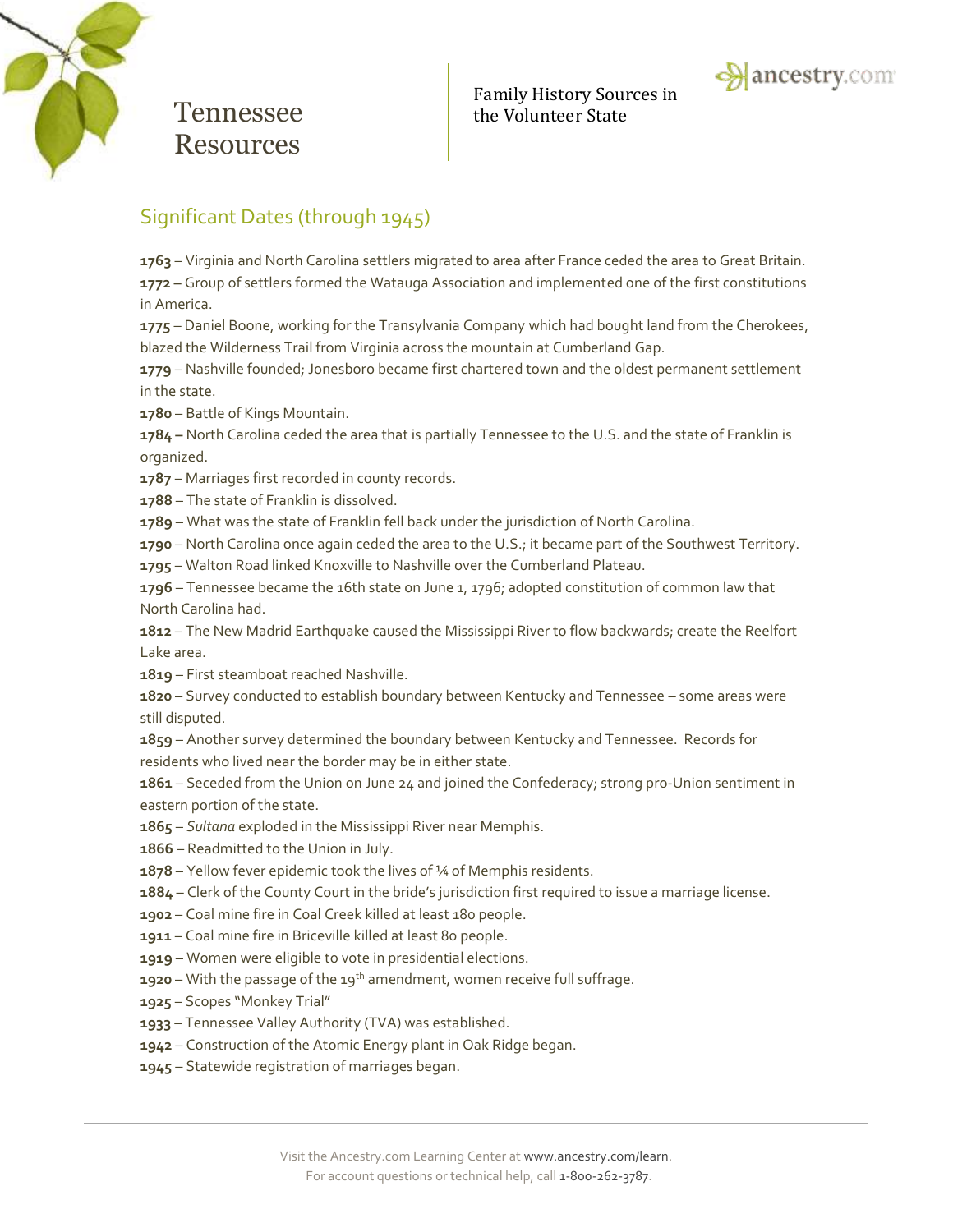



## Significant Dates (through 1945)

 – Virginia and North Carolina settlers migrated to area after France ceded the area to Great Britain. **–** Group of settlers formed the Watauga Association and implemented one of the first constitutions in America.

 – Daniel Boone, working for the Transylvania Company which had bought land from the Cherokees, blazed the Wilderness Trail from Virginia across the mountain at Cumberland Gap.

 – Nashville founded; Jonesboro became first chartered town and the oldest permanent settlement in the state.

– Battle of Kings Mountain.

**–** North Carolina ceded the area that is partially Tennessee to the U.S. and the state of Franklin is organized.

– Marriages first recorded in county records.

– The state of Franklin is dissolved.

– What was the state of Franklin fell back under the jurisdiction of North Carolina.

– North Carolina once again ceded the area to the U.S.; it became part of the Southwest Territory.

– Walton Road linked Knoxville to Nashville over the Cumberland Plateau.

– Tennessee became the 16th state on June 1, 1796; adopted constitution of common law that North Carolina had.

 – The New Madrid Earthquake caused the Mississippi River to flow backwards; create the Reelfort Lake area.

– First steamboat reached Nashville.

 – Survey conducted to establish boundary between Kentucky and Tennessee – some areas were still disputed.

 – Another survey determined the boundary between Kentucky and Tennessee. Records for residents who lived near the border may be in either state.

 – Seceded from the Union on June 24 and joined the Confederacy; strong pro-Union sentiment in eastern portion of the state.

- *Sultana* exploded in the Mississippi River near Memphis.
- Readmitted to the Union in July.
- Yellow fever epidemic took the lives of ¼ of Memphis residents.

– Clerk of the County Court in the bride's jurisdiction first required to issue a marriage license.

- Coal mine fire in Coal Creek killed at least 180 people.
- Coal mine fire in Briceville killed at least 80 people.
- Women were eligible to vote in presidential elections.
- **1920** With the passage of the 19<sup>th</sup> amendment, women receive full suffrage.
- Scopes "Monkey Trial"
- Tennessee Valley Authority (TVA) was established.
- Construction of the Atomic Energy plant in Oak Ridge began.
- Statewide registration of marriages began.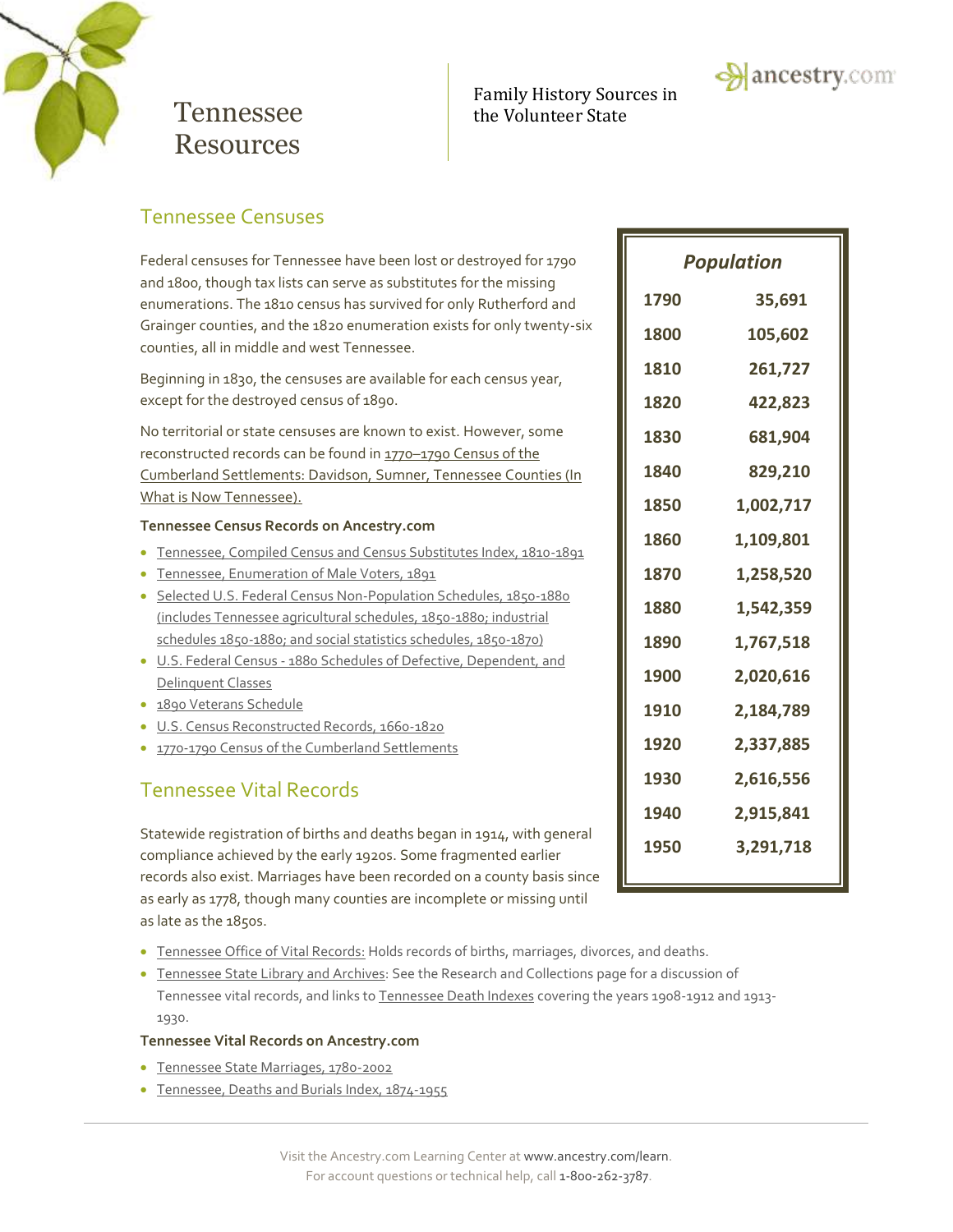

### Family History Sources in Tennessee the Volunteer State



### Tennessee Censuses

Federal censuses for Tennessee have been lost or destroyed for 1790 and 1800, though tax lists can serve as substitutes for the missing enumerations. The 1810 census has survived for only Rutherford and Grainger counties, and the 1820 enumeration exists for only twenty-six counties, all in middle and west Tennessee.

Beginning in 1830, the censuses are available for each census year, except for the destroyed census of 1890.

No territorial or state censuses are known to exist. However, some reconstructed records can be found in 1770-1790 Census of the [Cumberland Settlements: Davidson,](http://search.ancestry.com/search/db.aspx?dbid=3006) Sumner, Tennessee Counties (In [What is Now Tennessee\)](http://search.ancestry.com/search/db.aspx?dbid=3006).

#### **Tennessee Census Records on Ancestry.com**

- [Tennessee, Compiled Census and Census Substitutes Index, 1810-1891](http://search.ancestry.com/search/db.aspx?dbid=3574)
- [Tennessee, Enumeration of Male Voters, 1891](http://search.ancestry.com/search/db.aspx?dbid=2884)
- [Selected U.S. Federal Census Non-Population Schedules, 1850-1880](http://search.ancestry.com/search/db.aspx?dbid=1276) (includes Tennessee agricultural schedules, 1850-1880; industrial schedules 1850-1880; and social statistics schedules, 1850-1870)
- U.S. Federal Census [1880 Schedules of Defective, Dependent, and](http://search.ancestry.com/search/db.aspx?dbid=1634)  [Delinquent Classes](http://search.ancestry.com/search/db.aspx?dbid=1634)
- [1890 Veterans Schedule](http://search.ancestry.com/search/db.aspx?dbid=8667)
- [U.S. Census Reconstructed Records, 1660-1820](http://search.ancestry.com/search/db.aspx?dbid=2234)
- [1770-1790 Census of the Cumberland Settlements](http://search.ancestry.com/search/db.aspx?dbid=3006)

## Tennessee Vital Records

Statewide registration of births and deaths began in 1914, with general compliance achieved by the early 1920s. Some fragmented earlier records also exist. Marriages have been recorded on a county basis since as early as 1778, though many counties are incomplete or missing until as late as the 1850s.

- **[Tennessee Office of Vital Records:](http://health.state.tn.us/vr/index.htm)** Holds records of births, marriages, divorces, and deaths.
- [Tennessee State Library and Archives:](http://www.tennessee.gov/tsla/) See th[e Research and Collections](http://www.tn.gov/tsla/Collections.htm) page for a discussion of <u>Tennessee state Eibrary and Arenives</u>. See the Research and concertons page for a discossion of<br>Tennessee vital records, and links to <u>Tennessee Death Indexes</u> covering the years 1908-1912 and 1913-1930.

#### **Tennessee Vital Records on Ancestry.com**

- [Tennessee State Marriages, 1780-2002](http://search.ancestry.com/search/db.aspx?dbid=1169)
- [Tennessee, Deaths and Burials Index, 1874-1955](http://search.ancestry.com/search/db.aspx?dbid=2546)

| <b>Population</b> |           |  |  |  |
|-------------------|-----------|--|--|--|
| 1790              | 35,691    |  |  |  |
| 1800              | 105,602   |  |  |  |
| 1810              | 261,727   |  |  |  |
| 1820              | 422,823   |  |  |  |
| 1830              | 681,904   |  |  |  |
| 1840              | 829,210   |  |  |  |
| 1850              | 1,002,717 |  |  |  |
| 1860              | 1,109,801 |  |  |  |
| 1870              | 1,258,520 |  |  |  |
| 1880              | 1,542,359 |  |  |  |
| 1890              | 1,767,518 |  |  |  |
| 1900              | 2,020,616 |  |  |  |
| 1910              | 2,184,789 |  |  |  |
| 1920              | 2,337,885 |  |  |  |
| 1930              | 2,616,556 |  |  |  |
| 1940              | 2,915,841 |  |  |  |
| 1950              | 3,291,718 |  |  |  |

**1960 2,178,141**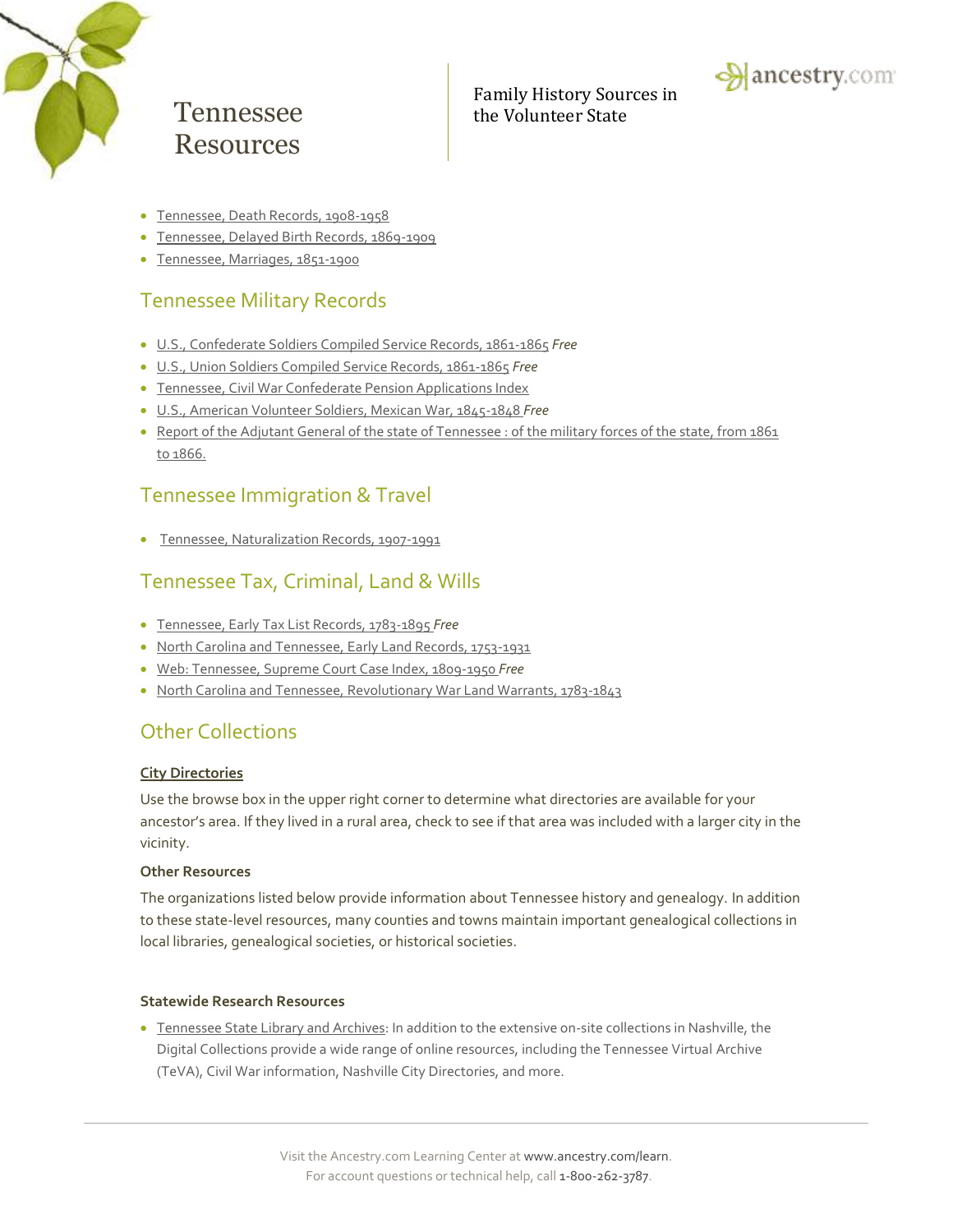

Family History Sources in Tennessee the Volunteer State



- [Tennessee, Death Records, 1908-1958](http://search.ancestry.com/search/db.aspx?dbid=2376)
- [Tennessee, Delayed Birth Records, 1869-1909](http://search.ancestry.com/search/db.aspx?dbid=2282)
- [Tennessee, Marriages, 1851-1900](http://search.ancestry.com/search/db.aspx?dbid=4125)

## Tennessee Military Records

- [U.S., Confederate Soldiers Compiled Service Records, 1861-1865](http://search.ancestry.com/search/db.aspx?dbid=2322) *Free*
- [U.S., Union Soldiers Compiled Service Records, 1861-1865](http://search.ancestry.com/search/db.aspx?dbid=2344) *Free*
- [Tennessee, Civil War Confederate Pension Applications Index](http://search.ancestry.com/search/db.aspx?dbid=7875)
- [U.S., American Volunteer Soldiers, Mexican War, 1845-1848](http://search.ancestry.com/search/db.aspx?dbid=2058) *Free*
- [Report of the Adjutant General of the state of Tennessee : of the military forces of the state, from 1861](http://search.ancestry.com/search/db.aspx?dbid=29992)  [to 1866.](http://search.ancestry.com/search/db.aspx?dbid=29992)

### Tennessee Immigration & Travel

[Tennessee, Naturalization Records, 1907-1991](http://search.ancestry.com/search/db.aspx?dbid=2502)

## Tennessee Tax, Criminal, Land & Wills

- [Tennessee, Early Tax List Records, 1783-1895](http://search.ancestry.com/search/db.aspx?dbid=2883) *Free*
- [North Carolina and Tennessee, Early Land Records, 1753-1931](http://search.ancestry.com/search/db.aspx?dbid=2882)
- [Web: Tennessee, Supreme Court Case Index, 1809-1950](http://search.ancestry.com/search/db.aspx?dbid=9292) *Free*
- [North Carolina and Tennessee, Revolutionary War Land Warrants, 1783-1843](http://search.ancestry.com/search/db.aspx?dbid=2885)

## Other Collections

#### **[City Directories](http://search.ancestry.com/search/db.aspx?dbid=2469)**

Use the browse box in the upper right corner to determine what directories are available for your ancestor's area. If they lived in a rural area, check to see if that area was included with a larger city in the vicinity.

#### **Other Resources**

The organizations listed below provide information about Tennessee history and genealogy. In addition to these state-level resources, many counties and towns maintain important genealogical collections in local libraries, genealogical societies, or historical societies.

#### **Statewide Research Resources**

**Tennessee State Library and Archives**: In addition to the extensive on-site collections in Nashville, the Digital Collections provide a wide range of online resources, including the Tennessee Virtual Archive (TeVA), Civil War information, Nashville City Directories, and more.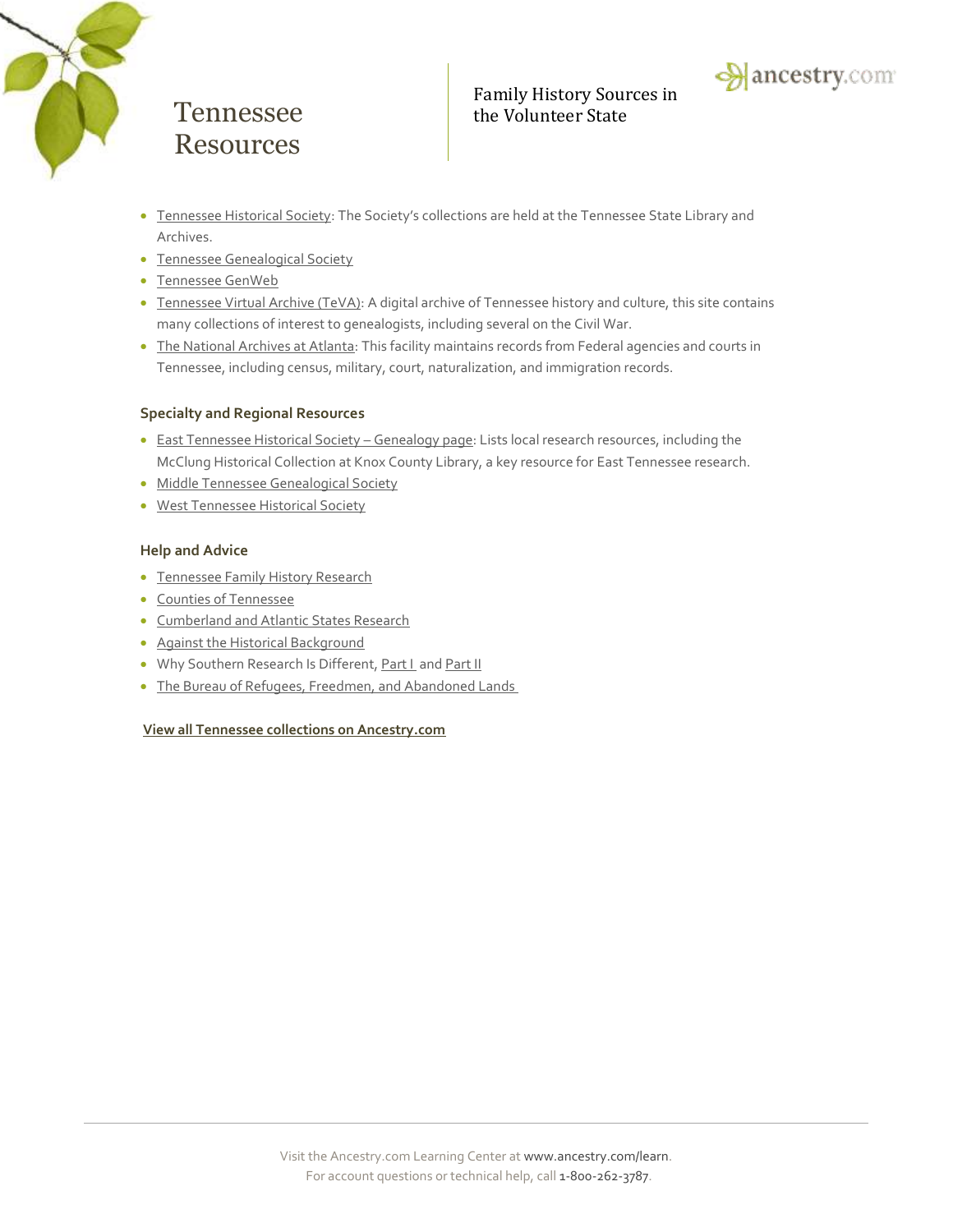



- [Tennessee Historical Society](http://www.tennesseehistory.org/): The Society's collections are held at the Tennessee State Library and Archives.
- [Tennessee Genealogical Society](http://www.tngs.org/)
- [Tennessee GenWeb](http://www.tngenweb.org/)
- [Tennessee Virtual Archive \(TeVA\):](http://teva.contentdm.oclc.org/) A digital archive of Tennessee history and culture, this site contains many collections of interest to genealogists, including several on the Civil War.
- . [The National Archives at Atlanta:](http://www.archives.gov/atlanta/) This facility maintains records from Federal agencies and courts in Tennessee, including census, military, court, naturalization, and immigration records.

#### **Specialty and Regional Resources**

- [East Tennessee Historical Society](http://www.easttnhistory.org/content.aspx?article=1265&parent=1201)  Genealogy page: Lists local research resources, including the McClung Historical Collection at Knox County Library, a key resource for East Tennessee research.
- [Middle Tennessee Genealogical Society](http://www.mtgs.org/)
- [West Tennessee Historical Society](http://wths-tn.org/)

#### **Help and Advice**

- [Tennessee Family History Research](http://www.ancestry.com/wiki/index.php?title=Tennessee_Family_History_Research)
- [Counties of Tennessee](http://www.ancestry.com/wiki/index.php?title=Counties_of_Tennessee)
- **[Cumberland and Atlantic States Research](http://learn.ancestry.com/LearnMore/Article.aspx?id=7230)**
- [Against the Historical Background](http://learn.ancestry.com/LearnMore/Article.aspx?id=9572)
- Why Southern Research Is Different[, Part I](http://learn.ancestry.com/LearnMore/Article.aspx?id=9622) an[d Part II](http://learn.ancestry.com/LearnMore/Article.aspx?id=9647)
- [The Bureau of Refugees, Freedmen, and Abandoned Lands](http://learn.ancestry.com/LearnMore/Article.aspx?id=9617)

#### **View all Tennessee [collections on Ancestry.com](http://search.ancestry.com/Places/US/Tennessee/Default.aspx)**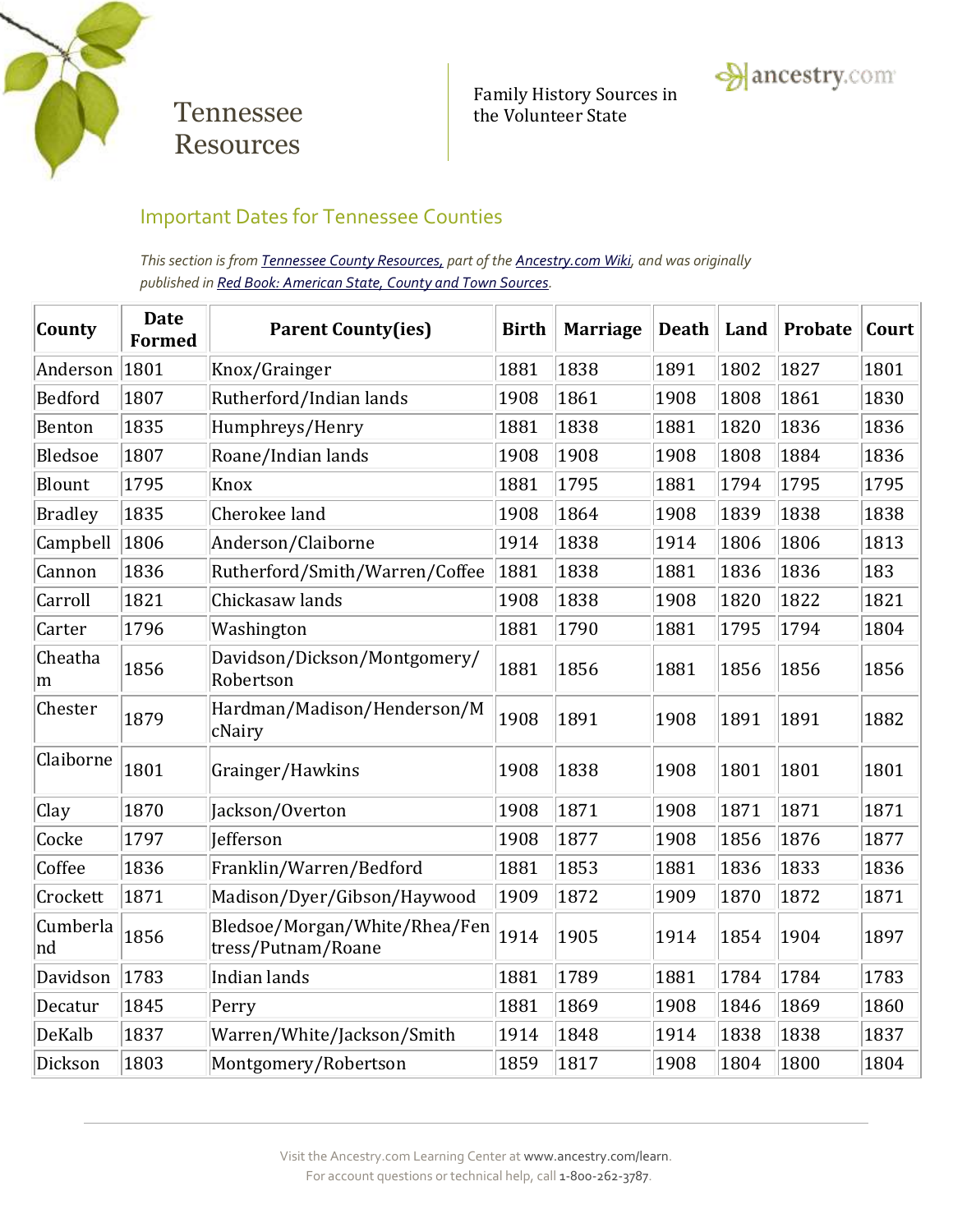

Family History Sources in Tennessee the Volunteer State



## Important Dates for Tennessee Counties

*This section is from Tennessee [County Resources,](http://www.ancestry.com/wiki/index.php?title=Mississippi_County_Resources) part of th[e Ancestry.com Wiki,](http://www.ancestry.com/wiki/index.php?title=Main_Page) and was originally published i[n Red Book: American State, County and Town Sources.](http://www.ancestry.com/wiki/index.php?title=Red_Book:_American_State,_County,_and_Town_Sources)*

| County         | <b>Date</b><br><b>Formed</b> | <b>Parent County(ies)</b>                           | <b>Birth</b> | <b>Marriage</b> | <b>Death</b> | Land | <b>Probate</b> | Court |
|----------------|------------------------------|-----------------------------------------------------|--------------|-----------------|--------------|------|----------------|-------|
| Anderson       | 1801                         | Knox/Grainger                                       | 1881         | 1838            | 1891         | 1802 | 1827           | 1801  |
| Bedford        | 1807                         | Rutherford/Indian lands                             | 1908         | 1861            | 1908         | 1808 | 1861           | 1830  |
| Benton         | 1835                         | Humphreys/Henry                                     | 1881         | 1838            | 1881         | 1820 | 1836           | 1836  |
| <b>Bledsoe</b> | 1807                         | Roane/Indian lands                                  | 1908         | 1908            | 1908         | 1808 | 1884           | 1836  |
| Blount         | 1795                         | Knox                                                | 1881         | 1795            | 1881         | 1794 | 1795           | 1795  |
| <b>Bradley</b> | 1835                         | Cherokee land                                       | 1908         | 1864            | 1908         | 1839 | 1838           | 1838  |
| Campbell       | 1806                         | Anderson/Claiborne                                  | 1914         | 1838            | 1914         | 1806 | 1806           | 1813  |
| Cannon         | 1836                         | Rutherford/Smith/Warren/Coffee                      | 1881         | 1838            | 1881         | 1836 | 1836           | 183   |
| Carroll        | 1821                         | Chickasaw lands                                     | 1908         | 1838            | 1908         | 1820 | 1822           | 1821  |
| Carter         | 1796                         | Washington                                          | 1881         | 1790            | 1881         | 1795 | 1794           | 1804  |
| Cheatha<br>m   | 1856                         | Davidson/Dickson/Montgomery/<br>Robertson           | 1881         | 1856            | 1881         | 1856 | 1856           | 1856  |
| Chester        | 1879                         | Hardman/Madison/Henderson/M<br>cNairy               | 1908         | 1891            | 1908         | 1891 | 1891           | 1882  |
| Claiborne      | 1801                         | Grainger/Hawkins                                    | 1908         | 1838            | 1908         | 1801 | 1801           | 1801  |
| Clay           | 1870                         | Jackson/Overton                                     | 1908         | 1871            | 1908         | 1871 | 1871           | 1871  |
| Cocke          | 1797                         | Jefferson                                           | 1908         | 1877            | 1908         | 1856 | 1876           | 1877  |
| Coffee         | 1836                         | Franklin/Warren/Bedford                             | 1881         | 1853            | 1881         | 1836 | 1833           | 1836  |
| Crockett       | 1871                         | Madison/Dyer/Gibson/Haywood                         | 1909         | 1872            | 1909         | 1870 | 1872           | 1871  |
| Cumberla<br>nd | 1856                         | Bledsoe/Morgan/White/Rhea/Fen<br>tress/Putnam/Roane | 1914         | 1905            | 1914         | 1854 | 1904           | 1897  |
| Davidson       | 1783                         | Indian lands                                        | 1881         | 1789            | 1881         | 1784 | 1784           | 1783  |
| Decatur        | 1845                         | Perry                                               | 1881         | 1869            | 1908         | 1846 | 1869           | 1860  |
| DeKalb         | 1837                         | Warren/White/Jackson/Smith                          | 1914         | 1848            | 1914         | 1838 | 1838           | 1837  |
| Dickson        | 1803                         | Montgomery/Robertson                                | 1859         | 1817            | 1908         | 1804 | 1800           | 1804  |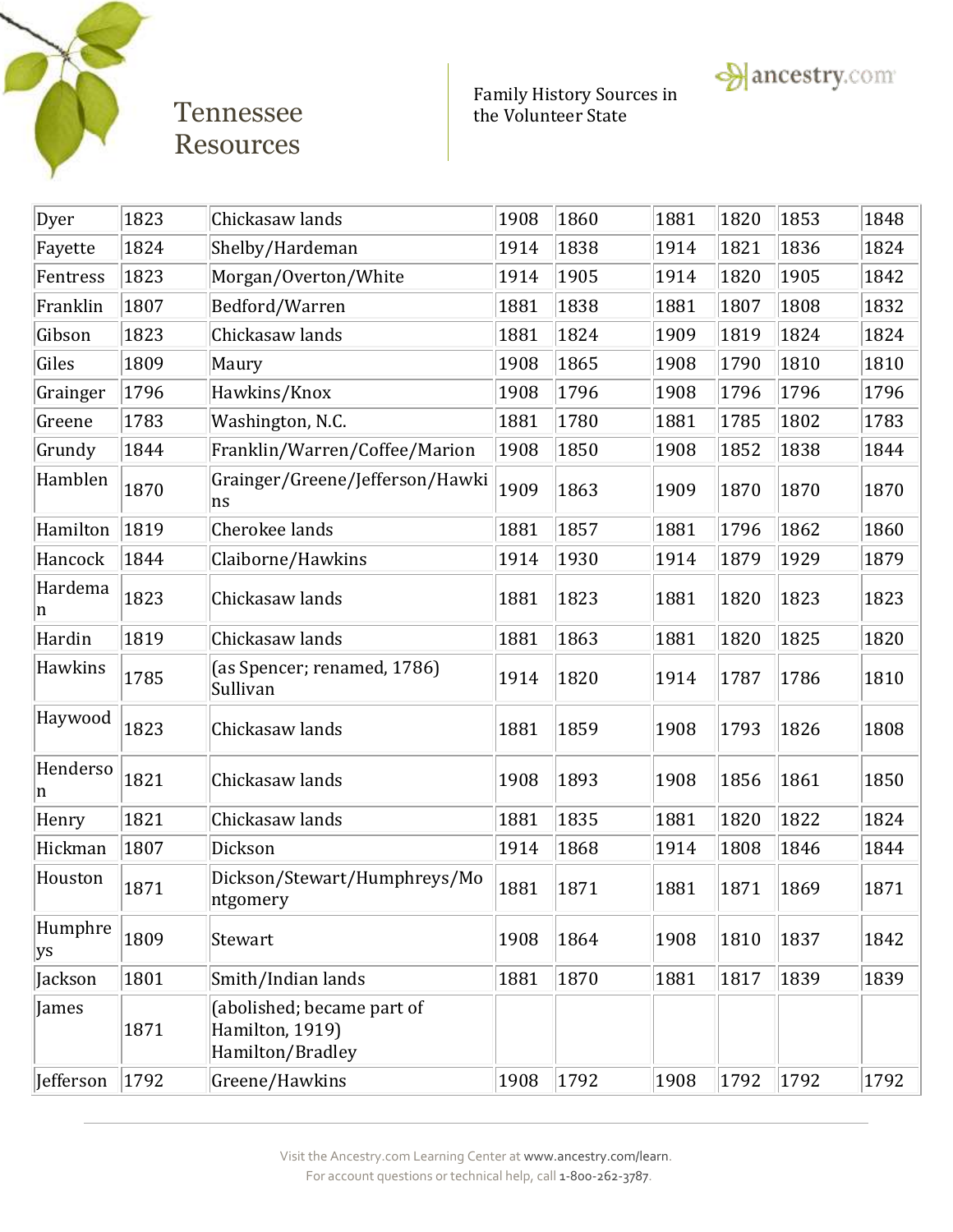

Family History Sources in Tennessee the Volunteer State



| Dyer          | 1823 | Chickasaw lands                                                   | 1908 | 1860 | 1881 | 1820 | 1853 | 1848 |
|---------------|------|-------------------------------------------------------------------|------|------|------|------|------|------|
| Fayette       | 1824 | Shelby/Hardeman                                                   | 1914 | 1838 | 1914 | 1821 | 1836 | 1824 |
| Fentress      | 1823 | Morgan/Overton/White                                              | 1914 | 1905 | 1914 | 1820 | 1905 | 1842 |
| Franklin      | 1807 | Bedford/Warren                                                    | 1881 | 1838 | 1881 | 1807 | 1808 | 1832 |
| Gibson        | 1823 | Chickasaw lands                                                   | 1881 | 1824 | 1909 | 1819 | 1824 | 1824 |
| Giles         | 1809 | Maury                                                             | 1908 | 1865 | 1908 | 1790 | 1810 | 1810 |
| Grainger      | 1796 | Hawkins/Knox                                                      | 1908 | 1796 | 1908 | 1796 | 1796 | 1796 |
| Greene        | 1783 | Washington, N.C.                                                  | 1881 | 1780 | 1881 | 1785 | 1802 | 1783 |
| Grundy        | 1844 | Franklin/Warren/Coffee/Marion                                     | 1908 | 1850 | 1908 | 1852 | 1838 | 1844 |
| Hamblen       | 1870 | Grainger/Greene/Jefferson/Hawki<br>ns                             | 1909 | 1863 | 1909 | 1870 | 1870 | 1870 |
| Hamilton      | 1819 | Cherokee lands                                                    | 1881 | 1857 | 1881 | 1796 | 1862 | 1860 |
| Hancock       | 1844 | Claiborne/Hawkins                                                 | 1914 | 1930 | 1914 | 1879 | 1929 | 1879 |
| Hardema<br>n  | 1823 | Chickasaw lands                                                   | 1881 | 1823 | 1881 | 1820 | 1823 | 1823 |
| Hardin        | 1819 | Chickasaw lands                                                   | 1881 | 1863 | 1881 | 1820 | 1825 | 1820 |
| Hawkins       | 1785 | (as Spencer; renamed, 1786)<br>Sullivan                           | 1914 | 1820 | 1914 | 1787 | 1786 | 1810 |
| Haywood       | 1823 | Chickasaw lands                                                   | 1881 | 1859 | 1908 | 1793 | 1826 | 1808 |
| Henderso<br>n | 1821 | Chickasaw lands                                                   | 1908 | 1893 | 1908 | 1856 | 1861 | 1850 |
| Henry         | 1821 | Chickasaw lands                                                   | 1881 | 1835 | 1881 | 1820 | 1822 | 1824 |
| Hickman       | 1807 | Dickson                                                           | 1914 | 1868 | 1914 | 1808 | 1846 | 1844 |
| Houston       | 1871 | Dickson/Stewart/Humphreys/Mo<br>ntgomery                          | 1881 | 1871 | 1881 | 1871 | 1869 | 1871 |
| Humphre<br>ys | 1809 | Stewart                                                           | 1908 | 1864 | 1908 | 1810 | 1837 | 1842 |
| Jackson       | 1801 | Smith/Indian lands                                                | 1881 | 1870 | 1881 | 1817 | 1839 | 1839 |
| James         | 1871 | (abolished; became part of<br>Hamilton, 1919)<br>Hamilton/Bradley |      |      |      |      |      |      |
| Jefferson     | 1792 | Greene/Hawkins                                                    | 1908 | 1792 | 1908 | 1792 | 1792 | 1792 |
|               |      |                                                                   |      |      |      |      |      |      |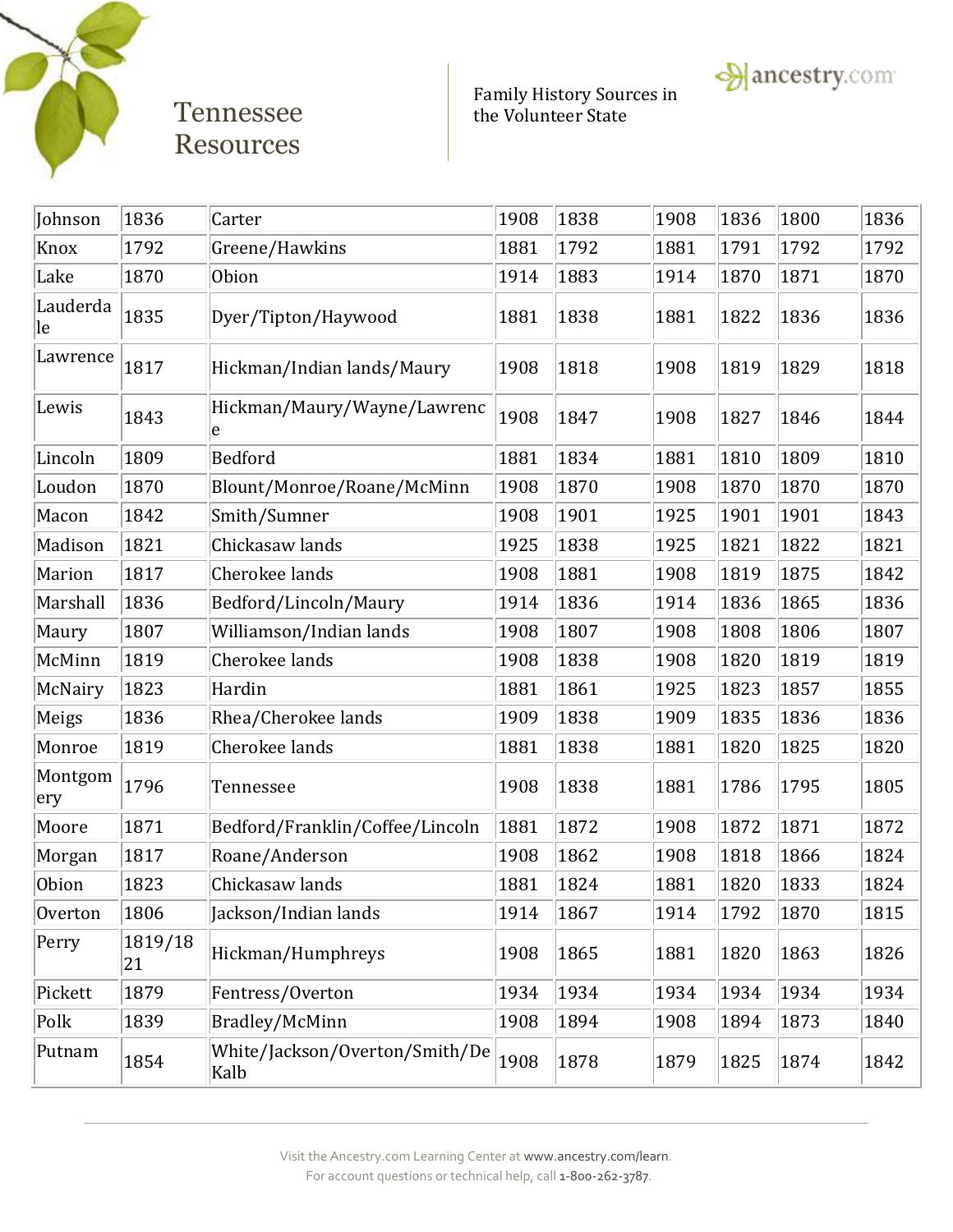

Family History Sources in Tennessee the Volunteer State

 $\rightarrow$  ancestry.com



Visit the Ancestry.com Learning Center a[t www.ancestry.com/learn.](http://www.ancestry.com/learn) For account questions or technical help, call 1-800-262-3787.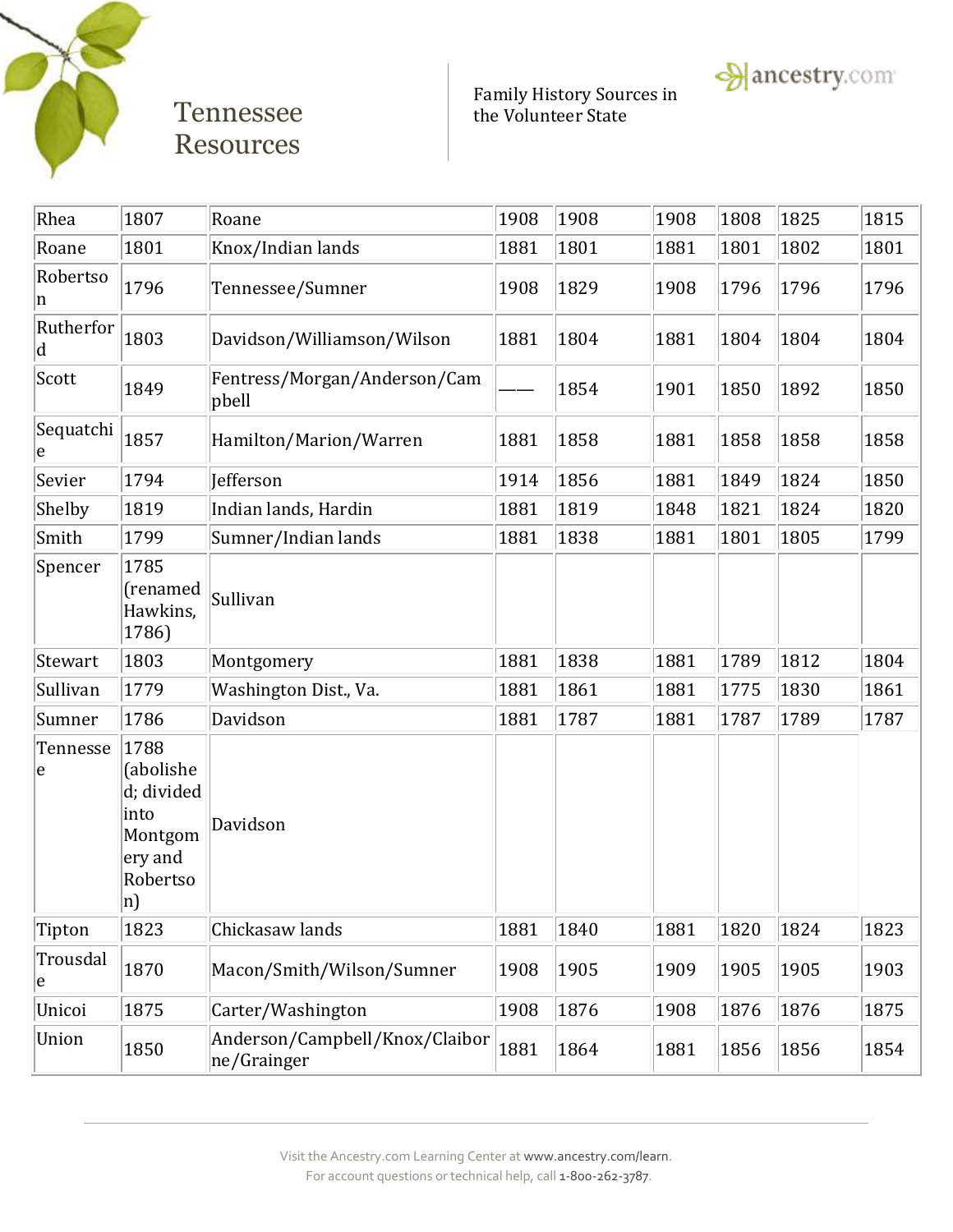

Family History Sources in Tennessee the Volunteer State

**A** ancestry.com